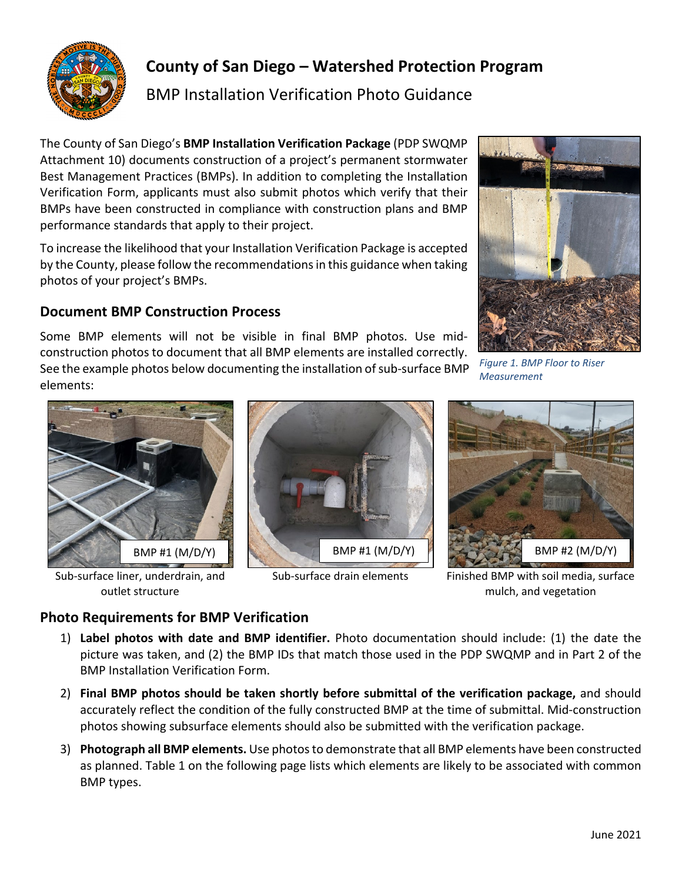

# **County of San Diego – Watershed Protection Program**

## BMP Installation Verification Photo Guidance

The County of San Diego's **BMP Installation Verification Package** (PDP SWQMP Attachment 10) documents construction of a project's permanent stormwater Best Management Practices (BMPs). In addition to completing the Installation Verification Form, applicants must also submit photos which verify that their BMPs have been constructed in compliance with construction plans and BMP performance standards that apply to their project.

To increase the likelihood that your Installation Verification Package is accepted by the County, please follow the recommendations in this guidance when taking photos of your project's BMPs.

### **Document BMP Construction Process**

Some BMP elements will not be visible in final BMP photos. Use midconstruction photos to document that all BMP elements are installed correctly. See the example photos below documenting the installation of sub-surface BMP elements:



*Figure 1. BMP Floor to Riser Measurement*



Sub-surface liner, underdrain, and outlet structure





Sub-surface drain elements Finished BMP with soil media, surface mulch, and vegetation

### **Photo Requirements for BMP Verification**

- 1) **Label photos with date and BMP identifier.** Photo documentation should include: (1) the date the picture was taken, and (2) the BMP IDs that match those used in the PDP SWQMP and in Part 2 of the BMP Installation Verification Form.
- 2) **Final BMP photos should be taken shortly before submittal of the verification package,** and should accurately reflect the condition of the fully constructed BMP at the time of submittal. Mid-construction photos showing subsurface elements should also be submitted with the verification package.
- 3) **Photograph all BMP elements.** Use photos to demonstrate that all BMP elements have been constructed as planned. Table 1 on the following page lists which elements are likely to be associated with common BMP types.